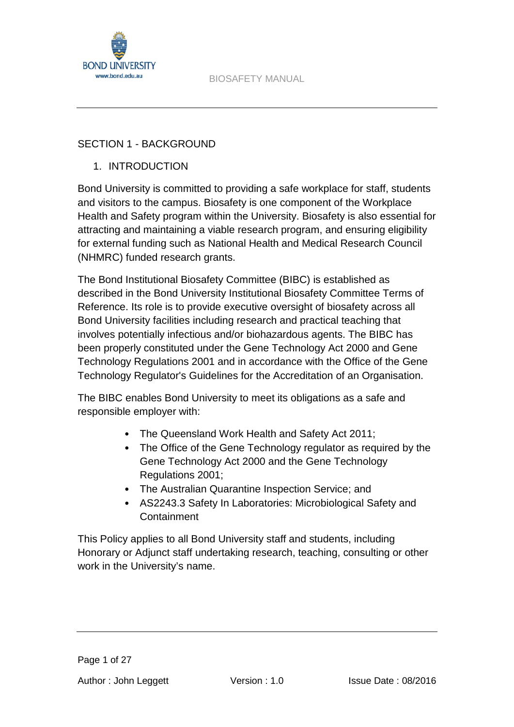

## SECTION 1 - BACKGROUND

## 1. INTRODUCTION

Bond University is committed to providing a safe workplace for staff, students and visitors to the campus. Biosafety is one component of the Workplace Health and Safety program within the University. Biosafety is also essential for attracting and maintaining a viable research program, and ensuring eligibility for external funding such as National Health and Medical Research Council (NHMRC) funded research grants.

The Bond Institutional Biosafety Committee (BIBC) is established as described in the Bond University Institutional Biosafety Committee Terms of Reference. Its role is to provide executive oversight of biosafety across all Bond University facilities including research and practical teaching that involves potentially infectious and/or biohazardous agents. The BIBC has been properly constituted under the Gene Technology Act 2000 and Gene Technology Regulations 2001 and in accordance with the Office of the Gene Technology Regulator's Guidelines for the Accreditation of an Organisation.

The BIBC enables Bond University to meet its obligations as a safe and responsible employer with:

- The Queensland Work Health and Safety Act 2011;
- The Office of the Gene Technology regulator as required by the Gene Technology Act 2000 and the Gene Technology Regulations 2001;
- The Australian Quarantine Inspection Service; and
- AS2243.3 Safety In Laboratories: Microbiological Safety and **Containment**

This Policy applies to all Bond University staff and students, including Honorary or Adjunct staff undertaking research, teaching, consulting or other work in the University's name.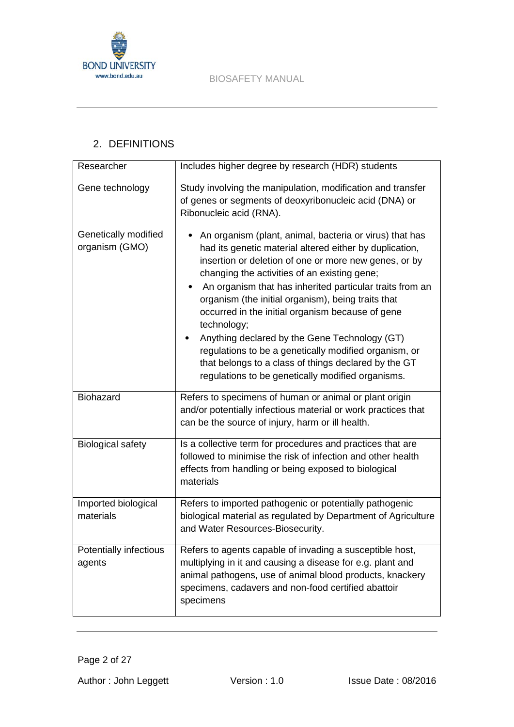



# 2. DEFINITIONS

| Researcher                             | Includes higher degree by research (HDR) students                                                                                                                                                                                                                                                                                                                                                                                                                                                                                                                                                                                       |
|----------------------------------------|-----------------------------------------------------------------------------------------------------------------------------------------------------------------------------------------------------------------------------------------------------------------------------------------------------------------------------------------------------------------------------------------------------------------------------------------------------------------------------------------------------------------------------------------------------------------------------------------------------------------------------------------|
| Gene technology                        | Study involving the manipulation, modification and transfer<br>of genes or segments of deoxyribonucleic acid (DNA) or<br>Ribonucleic acid (RNA).                                                                                                                                                                                                                                                                                                                                                                                                                                                                                        |
| Genetically modified<br>organism (GMO) | An organism (plant, animal, bacteria or virus) that has<br>had its genetic material altered either by duplication,<br>insertion or deletion of one or more new genes, or by<br>changing the activities of an existing gene;<br>An organism that has inherited particular traits from an<br>organism (the initial organism), being traits that<br>occurred in the initial organism because of gene<br>technology;<br>Anything declared by the Gene Technology (GT)<br>regulations to be a genetically modified organism, or<br>that belongs to a class of things declared by the GT<br>regulations to be genetically modified organisms. |
| Biohazard                              | Refers to specimens of human or animal or plant origin<br>and/or potentially infectious material or work practices that<br>can be the source of injury, harm or ill health.                                                                                                                                                                                                                                                                                                                                                                                                                                                             |
| <b>Biological safety</b>               | Is a collective term for procedures and practices that are<br>followed to minimise the risk of infection and other health<br>effects from handling or being exposed to biological<br>materials                                                                                                                                                                                                                                                                                                                                                                                                                                          |
| Imported biological<br>materials       | Refers to imported pathogenic or potentially pathogenic<br>biological material as regulated by Department of Agriculture<br>and Water Resources-Biosecurity.                                                                                                                                                                                                                                                                                                                                                                                                                                                                            |
| Potentially infectious<br>agents       | Refers to agents capable of invading a susceptible host,<br>multiplying in it and causing a disease for e.g. plant and<br>animal pathogens, use of animal blood products, knackery<br>specimens, cadavers and non-food certified abattoir<br>specimens                                                                                                                                                                                                                                                                                                                                                                                  |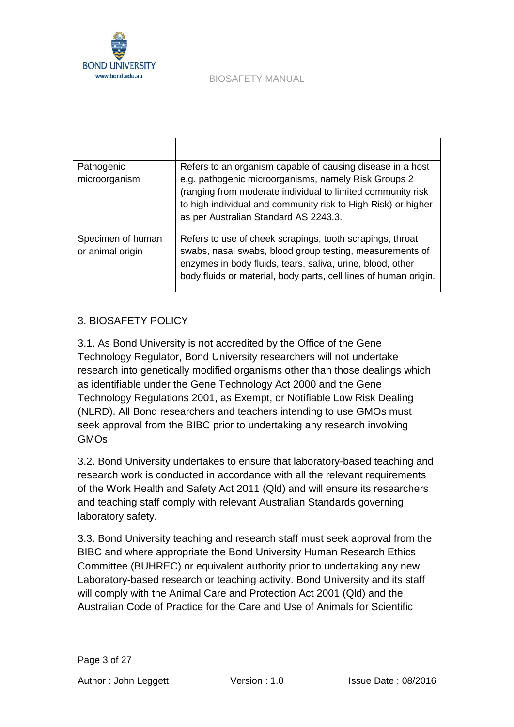

| Pathogenic<br>microorganism           | Refers to an organism capable of causing disease in a host<br>e.g. pathogenic microorganisms, namely Risk Groups 2<br>(ranging from moderate individual to limited community risk<br>to high individual and community risk to High Risk) or higher<br>as per Australian Standard AS 2243.3. |
|---------------------------------------|---------------------------------------------------------------------------------------------------------------------------------------------------------------------------------------------------------------------------------------------------------------------------------------------|
| Specimen of human<br>or animal origin | Refers to use of cheek scrapings, tooth scrapings, throat<br>swabs, nasal swabs, blood group testing, measurements of<br>enzymes in body fluids, tears, saliva, urine, blood, other<br>body fluids or material, body parts, cell lines of human origin.                                     |

## 3. BIOSAFETY POLICY

3.1. As Bond University is not accredited by the Office of the Gene Technology Regulator, Bond University researchers will not undertake research into genetically modified organisms other than those dealings which as identifiable under the Gene Technology Act 2000 and the Gene Technology Regulations 2001, as Exempt, or Notifiable Low Risk Dealing (NLRD). All Bond researchers and teachers intending to use GMOs must seek approval from the BIBC prior to undertaking any research involving GMOs.

3.2. Bond University undertakes to ensure that laboratory-based teaching and research work is conducted in accordance with all the relevant requirements of the Work Health and Safety Act 2011 (Qld) and will ensure its researchers and teaching staff comply with relevant Australian Standards governing laboratory safety.

3.3. Bond University teaching and research staff must seek approval from the BIBC and where appropriate the Bond University Human Research Ethics Committee (BUHREC) or equivalent authority prior to undertaking any new Laboratory-based research or teaching activity. Bond University and its staff will comply with the Animal Care and Protection Act 2001 (Qld) and the Australian Code of Practice for the Care and Use of Animals for Scientific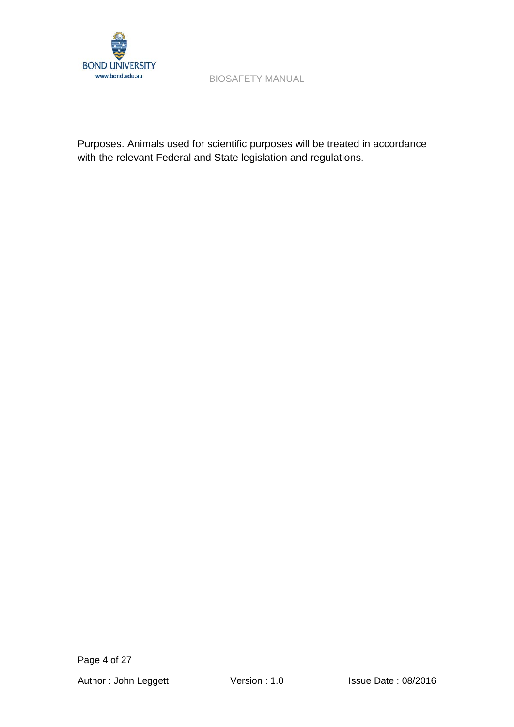

Purposes. Animals used for scientific purposes will be treated in accordance with the relevant Federal and State legislation and regulations.

Page 4 of 27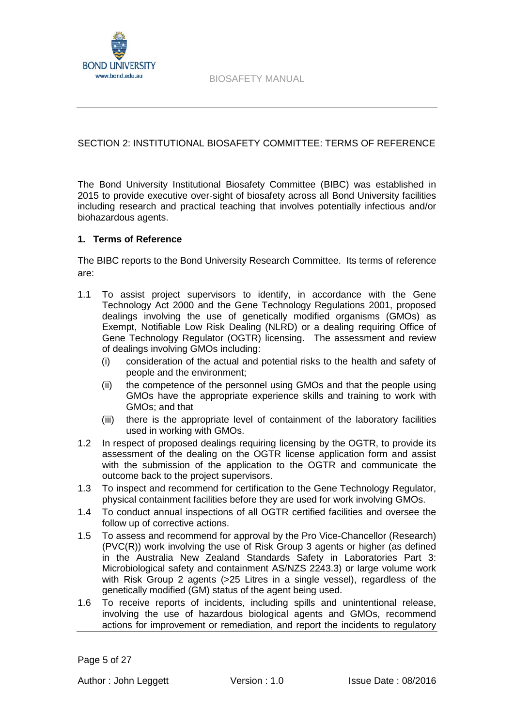

### SECTION 2: INSTITUTIONAL BIOSAFETY COMMITTEE: TERMS OF REFERENCE

The Bond University Institutional Biosafety Committee (BIBC) was established in 2015 to provide executive over-sight of biosafety across all Bond University facilities including research and practical teaching that involves potentially infectious and/or biohazardous agents.

### **1. Terms of Reference**

The BIBC reports to the Bond University Research Committee. Its terms of reference are:

- 1.1 To assist project supervisors to identify, in accordance with the Gene Technology Act 2000 and the Gene Technology Regulations 2001, proposed dealings involving the use of genetically modified organisms (GMOs) as Exempt, Notifiable Low Risk Dealing (NLRD) or a dealing requiring Office of Gene Technology Regulator (OGTR) licensing. The assessment and review of dealings involving GMOs including:
	- (i) consideration of the actual and potential risks to the health and safety of people and the environment;
	- (ii) the competence of the personnel using GMOs and that the people using GMOs have the appropriate experience skills and training to work with GMOs; and that
	- (iii) there is the appropriate level of containment of the laboratory facilities used in working with GMOs.
- 1.2 In respect of proposed dealings requiring licensing by the OGTR, to provide its assessment of the dealing on the OGTR license application form and assist with the submission of the application to the OGTR and communicate the outcome back to the project supervisors.
- 1.3 To inspect and recommend for certification to the Gene Technology Regulator, physical containment facilities before they are used for work involving GMOs.
- 1.4 To conduct annual inspections of all OGTR certified facilities and oversee the follow up of corrective actions.
- 1.5 To assess and recommend for approval by the Pro Vice-Chancellor (Research) (PVC(R)) work involving the use of Risk Group 3 agents or higher (as defined in the Australia New Zealand Standards Safety in Laboratories Part 3: Microbiological safety and containment AS/NZS 2243.3) or large volume work with Risk Group 2 agents (>25 Litres in a single vessel), regardless of the genetically modified (GM) status of the agent being used.
- 1.6 To receive reports of incidents, including spills and unintentional release, involving the use of hazardous biological agents and GMOs, recommend actions for improvement or remediation, and report the incidents to regulatory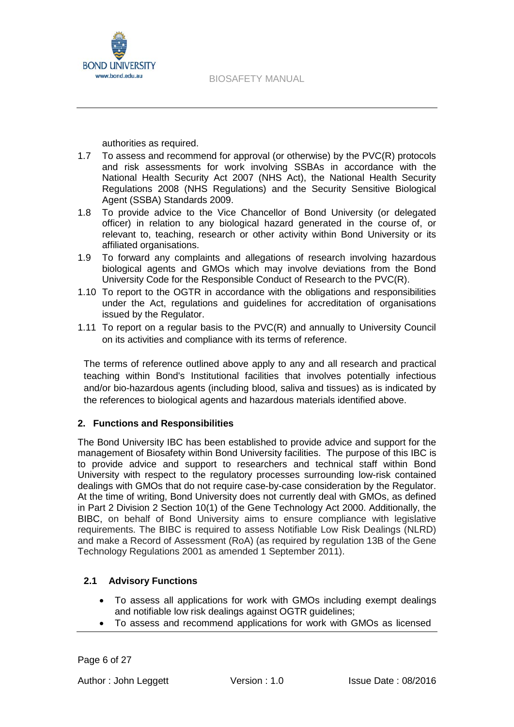

authorities as required.

- 1.7 To assess and recommend for approval (or otherwise) by the PVC(R) protocols and risk assessments for work involving SSBAs in accordance with the National Health Security Act 2007 (NHS Act), the National Health Security Regulations 2008 (NHS Regulations) and the Security Sensitive Biological Agent (SSBA) Standards 2009.
- 1.8 To provide advice to the Vice Chancellor of Bond University (or delegated officer) in relation to any biological hazard generated in the course of, or relevant to, teaching, research or other activity within Bond University or its affiliated organisations.
- 1.9 To forward any complaints and allegations of research involving hazardous biological agents and GMOs which may involve deviations from the Bond University Code for the Responsible Conduct of Research to the PVC(R).
- 1.10 To report to the OGTR in accordance with the obligations and responsibilities under the Act, regulations and guidelines for accreditation of organisations issued by the Regulator.
- 1.11 To report on a regular basis to the PVC(R) and annually to University Council on its activities and compliance with its terms of reference.

The terms of reference outlined above apply to any and all research and practical teaching within Bond's Institutional facilities that involves potentially infectious and/or bio-hazardous agents (including blood, saliva and tissues) as is indicated by the references to biological agents and hazardous materials identified above.

## **2. Functions and Responsibilities**

The Bond University IBC has been established to provide advice and support for the management of Biosafety within Bond University facilities. The purpose of this IBC is to provide advice and support to researchers and technical staff within Bond University with respect to the regulatory processes surrounding low-risk contained dealings with GMOs that do not require case-by-case consideration by the Regulator. At the time of writing, Bond University does not currently deal with GMOs, as defined in Part 2 Division 2 Section 10(1) of the Gene Technology Act 2000. Additionally, the BIBC, on behalf of Bond University aims to ensure compliance with legislative requirements. The BIBC is required to assess Notifiable Low Risk Dealings (NLRD) and make a Record of Assessment (RoA) (as required by regulation 13B of the Gene Technology Regulations 2001 as amended 1 September 2011).

## **2.1 Advisory Functions**

- To assess all applications for work with GMOs including exempt dealings and notifiable low risk dealings against OGTR guidelines;
- To assess and recommend applications for work with GMOs as licensed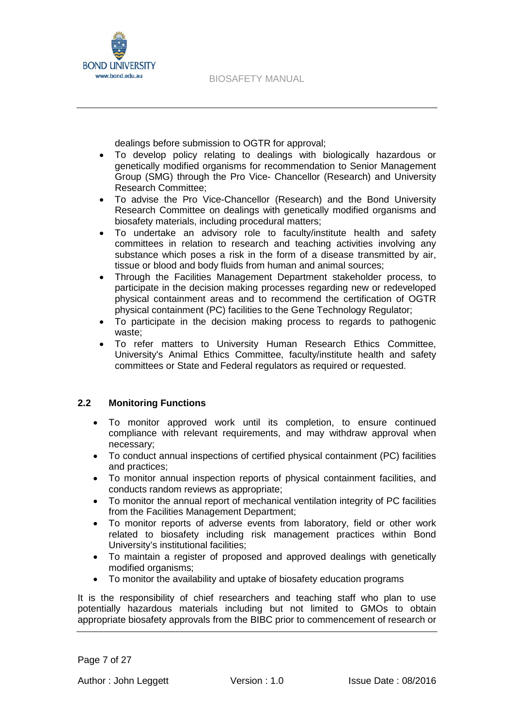

dealings before submission to OGTR for approval;

- To develop policy relating to dealings with biologically hazardous or genetically modified organisms for recommendation to Senior Management Group (SMG) through the Pro Vice- Chancellor (Research) and University Research Committee;
- To advise the Pro Vice-Chancellor (Research) and the Bond University Research Committee on dealings with genetically modified organisms and biosafety materials, including procedural matters;
- To undertake an advisory role to faculty/institute health and safety committees in relation to research and teaching activities involving any substance which poses a risk in the form of a disease transmitted by air, tissue or blood and body fluids from human and animal sources;
- Through the Facilities Management Department stakeholder process, to participate in the decision making processes regarding new or redeveloped physical containment areas and to recommend the certification of OGTR physical containment (PC) facilities to the Gene Technology Regulator;
- To participate in the decision making process to regards to pathogenic waste;
- To refer matters to University Human Research Ethics Committee, University's Animal Ethics Committee, faculty/institute health and safety committees or State and Federal regulators as required or requested.

## **2.2 Monitoring Functions**

- To monitor approved work until its completion, to ensure continued compliance with relevant requirements, and may withdraw approval when necessary;
- To conduct annual inspections of certified physical containment (PC) facilities and practices;
- To monitor annual inspection reports of physical containment facilities, and conducts random reviews as appropriate;
- To monitor the annual report of mechanical ventilation integrity of PC facilities from the Facilities Management Department;
- To monitor reports of adverse events from laboratory, field or other work related to biosafety including risk management practices within Bond University's institutional facilities;
- To maintain a register of proposed and approved dealings with genetically modified organisms;
- To monitor the availability and uptake of biosafety education programs

It is the responsibility of chief researchers and teaching staff who plan to use potentially hazardous materials including but not limited to GMOs to obtain appropriate biosafety approvals from the BIBC prior to commencement of research or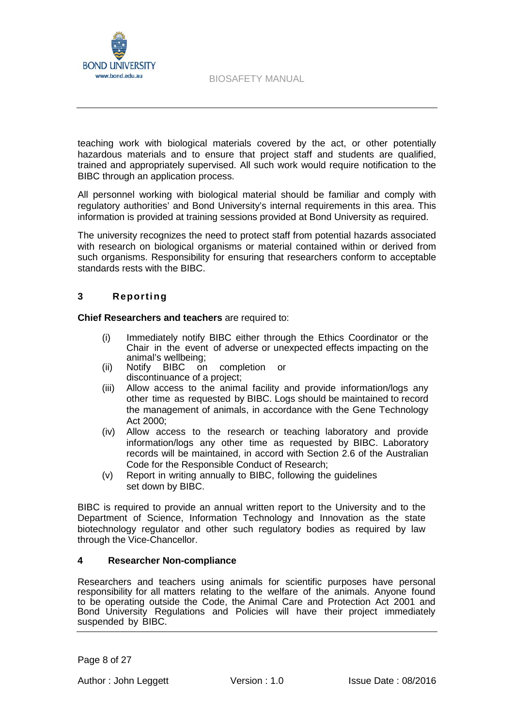

teaching work with biological materials covered by the act, or other potentially hazardous materials and to ensure that project staff and students are qualified, trained and appropriately supervised. All such work would require notification to the BIBC through an application process.

All personnel working with biological material should be familiar and comply with regulatory authorities' and Bond University's internal requirements in this area. This information is provided at training sessions provided at Bond University as required.

The university recognizes the need to protect staff from potential hazards associated with research on biological organisms or material contained within or derived from such organisms. Responsibility for ensuring that researchers conform to acceptable standards rests with the BIBC.

### **3 Reporting**

**Chief Researchers and teachers** are required to:

- (i) Immediately notify BIBC either through the Ethics Coordinator or the Chair in the event of adverse or unexpected effects impacting on the animal's wellbeing;
- (ii) Notify BIBC on completion or discontinuance of a project;
- (iii) Allow access to the animal facility and provide information/logs any other time as requested by BIBC. Logs should be maintained to record the management of animals, in accordance with the Gene Technology Act 2000;
- (iv) Allow access to the research or teaching laboratory and provide information/logs any other time as requested by BIBC. Laboratory records will be maintained, in accord with Section 2.6 of the Australian Code for the Responsible Conduct of Research;
- (v) Report in writing annually to BIBC, following the guidelines set down by BIBC.

BIBC is required to provide an annual written report to the University and to the Department of Science, Information Technology and Innovation as the state biotechnology regulator and other such regulatory bodies as required by law through the Vice-Chancellor.

#### **4 Researcher Non-compliance**

Researchers and teachers using animals for scientific purposes have personal responsibility for all matters relating to the welfare of the animals. Anyone found to be operating outside the Code, the Animal Care and Protection Act 2001 and Bond University Regulations and Policies will have their project immediately suspended by BIBC.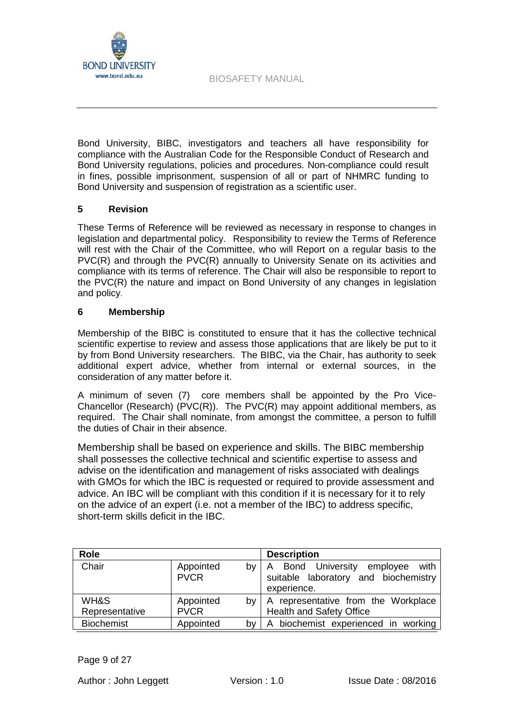

Bond University, BIBC, investigators and teachers all have responsibility for compliance with the Australian Code for the Responsible Conduct of Research and Bond University regulations, policies and procedures. Non-compliance could result in fines, possible imprisonment, suspension of all or part of NHMRC funding to Bond University and suspension of registration as a scientific user.

#### **5 Revision**

These Terms of Reference will be reviewed as necessary in response to changes in legislation and departmental policy. Responsibility to review the Terms of Reference will rest with the Chair of the Committee, who will Report on a regular basis to the PVC(R) and through the PVC(R) annually to University Senate on its activities and compliance with its terms of reference. The Chair will also be responsible to report to the PVC(R) the nature and impact on Bond University of any changes in legislation and policy.

#### **6 Membership**

Membership of the BIBC is constituted to ensure that it has the collective technical scientific expertise to review and assess those applications that are likely be put to it by from Bond University researchers. The BIBC, via the Chair, has authority to seek additional expert advice, whether from internal or external sources, in the consideration of any matter before it.

A minimum of seven (7) core members shall be appointed by the Pro Vice-Chancellor (Research) (PVC(R)). The PVC(R) may appoint additional members, as required. The Chair shall nominate, from amongst the committee, a person to fulfill the duties of Chair in their absence.

Membership shall be based on experience and skills. The BIBC membership shall possesses the collective technical and scientific expertise to assess and advise on the identification and management of risks associated with dealings with GMOs for which the IBC is requested or required to provide assessment and advice. An IBC will be compliant with this condition if it is necessary for it to rely on the advice of an expert (i.e. not a member of the IBC) to address specific, short-term skills deficit in the IBC.

| <b>Role</b>            |                                | <b>Description</b>                                                                           |
|------------------------|--------------------------------|----------------------------------------------------------------------------------------------|
| Chair                  | Appointed<br>bv<br><b>PVCR</b> | Bond University employee<br>with<br>A<br>suitable laboratory and biochemistry<br>experience. |
| WH&S<br>Representative | Appointed<br>bv<br><b>PVCR</b> | A representative from the Workplace<br><b>Health and Safety Office</b>                       |
| <b>Biochemist</b>      | Appointed<br>b٧                | A biochemist experienced in working                                                          |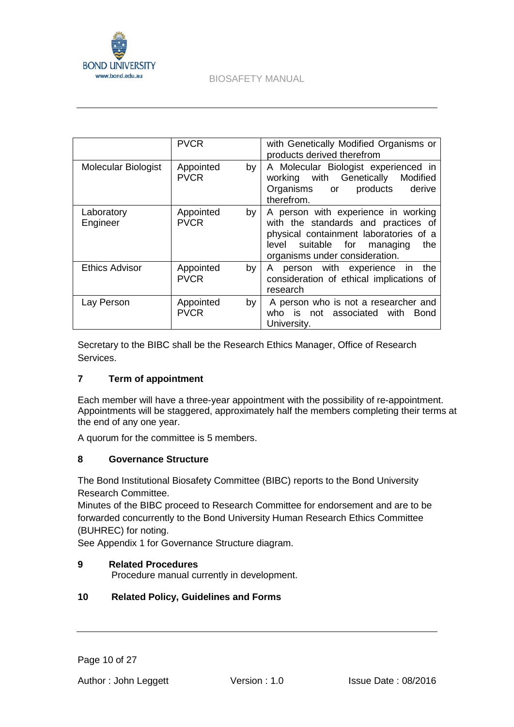

|                        | <b>PVCR</b>                    | with Genetically Modified Organisms or<br>products derived therefrom                                                                                                                               |
|------------------------|--------------------------------|----------------------------------------------------------------------------------------------------------------------------------------------------------------------------------------------------|
| Molecular Biologist    | Appointed<br>by<br><b>PVCR</b> | A Molecular Biologist experienced in<br>working with Genetically<br>Modified<br>Organisms or products<br>derive<br>therefrom.                                                                      |
| Laboratory<br>Engineer | Appointed<br>by<br><b>PVCR</b> | A person with experience in working<br>with the standards and practices of<br>physical containment laboratories of a<br>suitable for<br>level<br>managing<br>the<br>organisms under consideration. |
| <b>Ethics Advisor</b>  | Appointed<br>by<br><b>PVCR</b> | A person with experience in<br>the<br>consideration of ethical implications of<br>research                                                                                                         |
| Lay Person             | Appointed<br>by<br><b>PVCR</b> | A person who is not a researcher and<br>who is not associated with Bond<br>University.                                                                                                             |

Secretary to the BIBC shall be the Research Ethics Manager, Office of Research Services.

## **7 Term of appointment**

Each member will have a three-year appointment with the possibility of re-appointment. Appointments will be staggered, approximately half the members completing their terms at the end of any one year.

A quorum for the committee is 5 members.

### **8 Governance Structure**

The Bond Institutional Biosafety Committee (BIBC) reports to the Bond University Research Committee.

Minutes of the BIBC proceed to Research Committee for endorsement and are to be forwarded concurrently to the Bond University Human Research Ethics Committee (BUHREC) for noting.

See Appendix 1 for Governance Structure diagram.

### **9 Related Procedures**

Procedure manual currently in development.

### **10 Related Policy, Guidelines and Forms**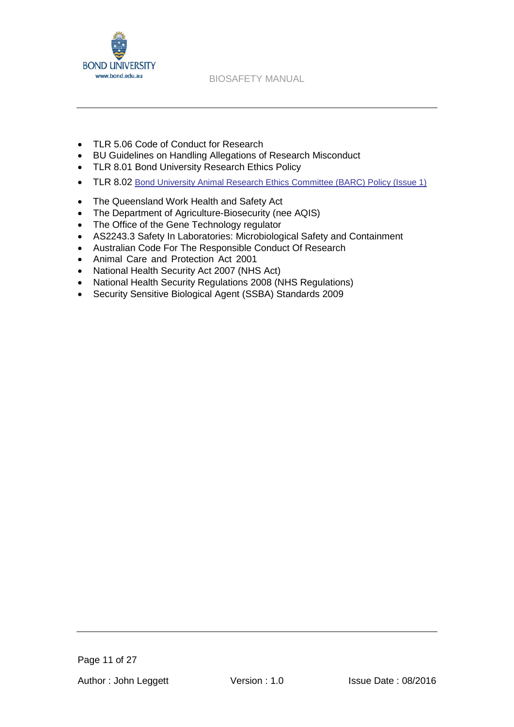

- [TLR 5.06 C](http://www.staff.bond.edu.au/quality/policies/teaching/TLR506.pdf)ode of Conduct for Research
- BU Guidelines on Handling Allegations of Research Misconduct
- [TLR 8.01](http://www.staff.bond.edu.au/quality/policies/teaching/TLR801.pdf) Bond University Research Ethics Policy
- TLR 8.02 [Bond University Animal Research Ethics Committee \(BARC\) Policy \(Issue 1\)](http://www.staff.bond.edu.au/quality/policies/teaching/TLR802.pdf)
- The Queensland Work Health and Safety Act
- The Department of Agriculture-Biosecurity (nee AQIS)
- The Office of the Gene Technology regulator
- AS2243.3 Safety In Laboratories: Microbiological Safety and Containment
- Australian Code For The Responsible Conduct Of Research
- Animal Care and Protection Act 2001
- National Health Security Act 2007 (NHS Act)
- National Health Security Regulations 2008 (NHS Regulations)
- Security Sensitive Biological Agent (SSBA) Standards 2009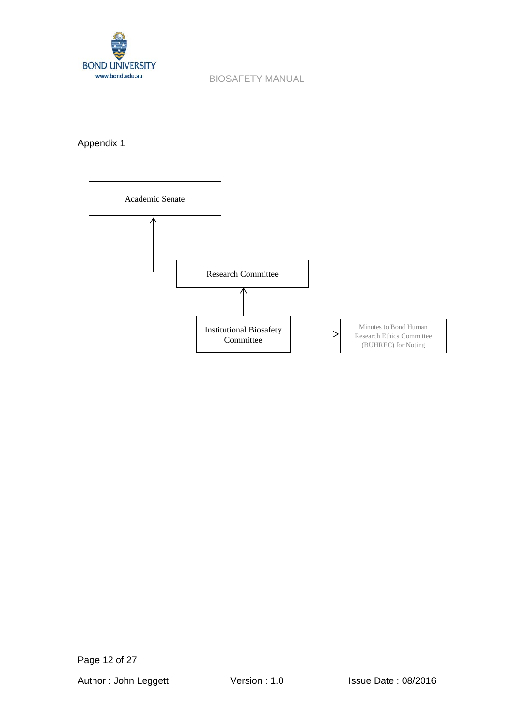

Appendix 1



Page 12 of 27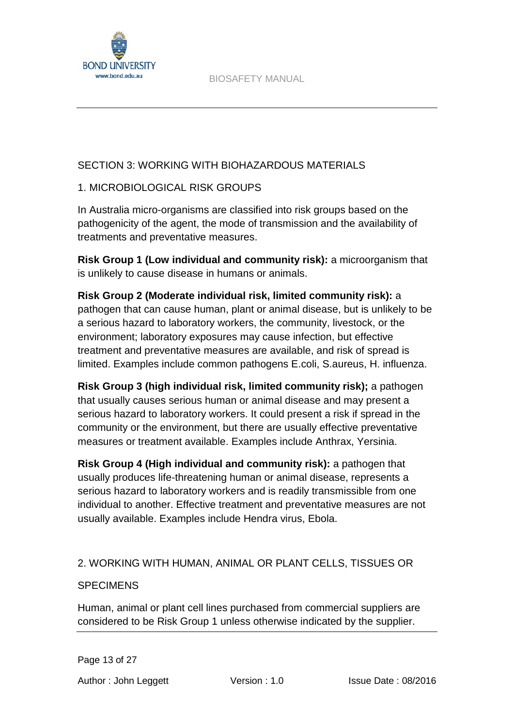

## SECTION 3: WORKING WITH BIOHAZARDOUS MATERIALS

## 1. MICROBIOLOGICAL RISK GROUPS

In Australia micro-organisms are classified into risk groups based on the pathogenicity of the agent, the mode of transmission and the availability of treatments and preventative measures.

**Risk Group 1 (Low individual and community risk):** a microorganism that is unlikely to cause disease in humans or animals.

**Risk Group 2 (Moderate individual risk, limited community risk):** a pathogen that can cause human, plant or animal disease, but is unlikely to be a serious hazard to laboratory workers, the community, livestock, or the environment; laboratory exposures may cause infection, but effective treatment and preventative measures are available, and risk of spread is limited. Examples include common pathogens E.coli, S.aureus, H. influenza.

**Risk Group 3 (high individual risk, limited community risk);** a pathogen that usually causes serious human or animal disease and may present a serious hazard to laboratory workers. It could present a risk if spread in the community or the environment, but there are usually effective preventative measures or treatment available. Examples include Anthrax, Yersinia.

**Risk Group 4 (High individual and community risk):** a pathogen that usually produces life-threatening human or animal disease, represents a serious hazard to laboratory workers and is readily transmissible from one individual to another. Effective treatment and preventative measures are not usually available. Examples include Hendra virus, Ebola.

## 2. WORKING WITH HUMAN, ANIMAL OR PLANT CELLS, TISSUES OR

## **SPECIMENS**

Human, animal or plant cell lines purchased from commercial suppliers are considered to be Risk Group 1 unless otherwise indicated by the supplier.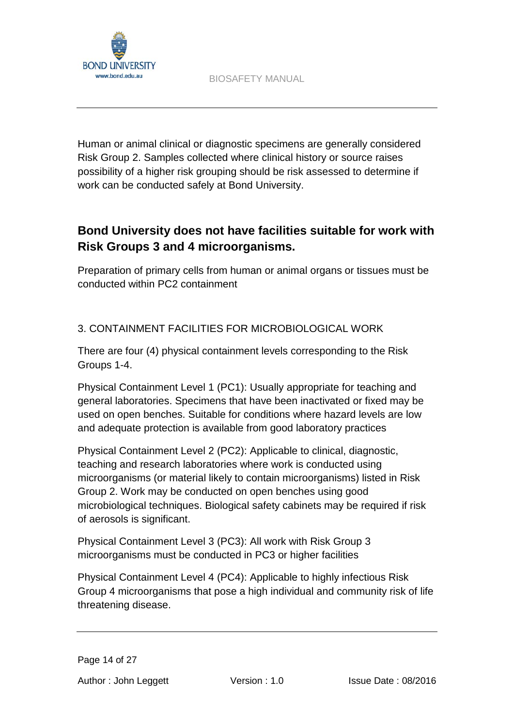

Human or animal clinical or diagnostic specimens are generally considered Risk Group 2. Samples collected where clinical history or source raises possibility of a higher risk grouping should be risk assessed to determine if work can be conducted safely at Bond University.

# **Bond University does not have facilities suitable for work with Risk Groups 3 and 4 microorganisms.**

Preparation of primary cells from human or animal organs or tissues must be conducted within PC2 containment

# 3. CONTAINMENT FACILITIES FOR MICROBIOLOGICAL WORK

There are four (4) physical containment levels corresponding to the Risk Groups 1-4.

Physical Containment Level 1 (PC1): Usually appropriate for teaching and general laboratories. Specimens that have been inactivated or fixed may be used on open benches. Suitable for conditions where hazard levels are low and adequate protection is available from good laboratory practices

Physical Containment Level 2 (PC2): Applicable to clinical, diagnostic, teaching and research laboratories where work is conducted using microorganisms (or material likely to contain microorganisms) listed in Risk Group 2. Work may be conducted on open benches using good microbiological techniques. Biological safety cabinets may be required if risk of aerosols is significant.

Physical Containment Level 3 (PC3): All work with Risk Group 3 microorganisms must be conducted in PC3 or higher facilities

Physical Containment Level 4 (PC4): Applicable to highly infectious Risk Group 4 microorganisms that pose a high individual and community risk of life threatening disease.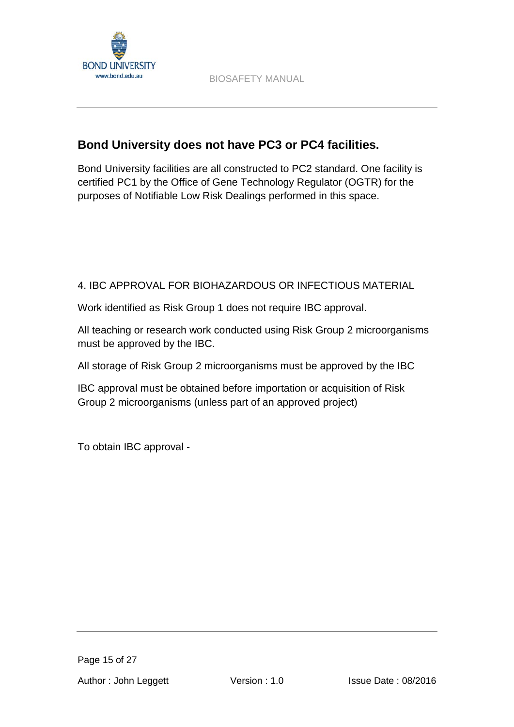

# **Bond University does not have PC3 or PC4 facilities.**

Bond University facilities are all constructed to PC2 standard. One facility is certified PC1 by the Office of Gene Technology Regulator (OGTR) for the purposes of Notifiable Low Risk Dealings performed in this space.

# 4. IBC APPROVAL FOR BIOHAZARDOUS OR INFECTIOUS MATERIAL

Work identified as Risk Group 1 does not require IBC approval.

All teaching or research work conducted using Risk Group 2 microorganisms must be approved by the IBC.

All storage of Risk Group 2 microorganisms must be approved by the IBC

IBC approval must be obtained before importation or acquisition of Risk Group 2 microorganisms (unless part of an approved project)

To obtain IBC approval -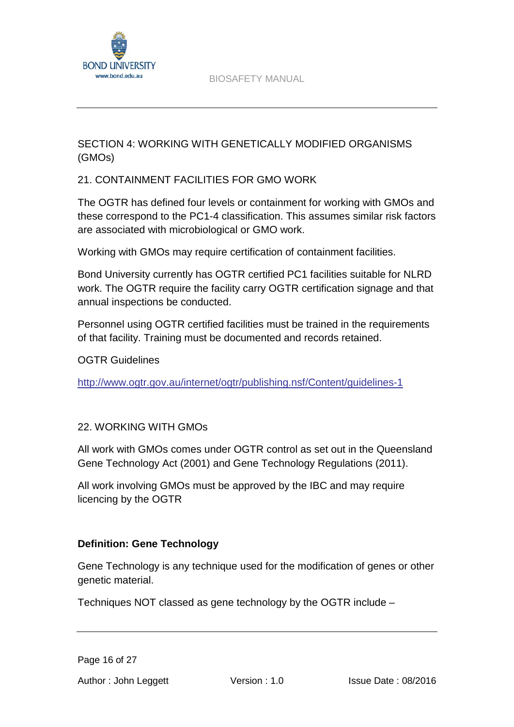

# SECTION 4: WORKING WITH GENETICALLY MODIFIED ORGANISMS (GMOs)

## 21. CONTAINMENT FACILITIES FOR GMO WORK

The OGTR has defined four levels or containment for working with GMOs and these correspond to the PC1-4 classification. This assumes similar risk factors are associated with microbiological or GMO work.

Working with GMOs may require certification of containment facilities.

Bond University currently has OGTR certified PC1 facilities suitable for NLRD work. The OGTR require the facility carry OGTR certification signage and that annual inspections be conducted.

Personnel using OGTR certified facilities must be trained in the requirements of that facility. Training must be documented and records retained.

OGTR Guidelines

<http://www.ogtr.gov.au/internet/ogtr/publishing.nsf/Content/guidelines-1>

## 22. WORKING WITH GMOs

All work with GMOs comes under OGTR control as set out in the Queensland Gene Technology Act (2001) and Gene Technology Regulations (2011).

All work involving GMOs must be approved by the IBC and may require licencing by the OGTR

## **Definition: Gene Technology**

Gene Technology is any technique used for the modification of genes or other genetic material.

Techniques NOT classed as gene technology by the OGTR include –

Page 16 of 27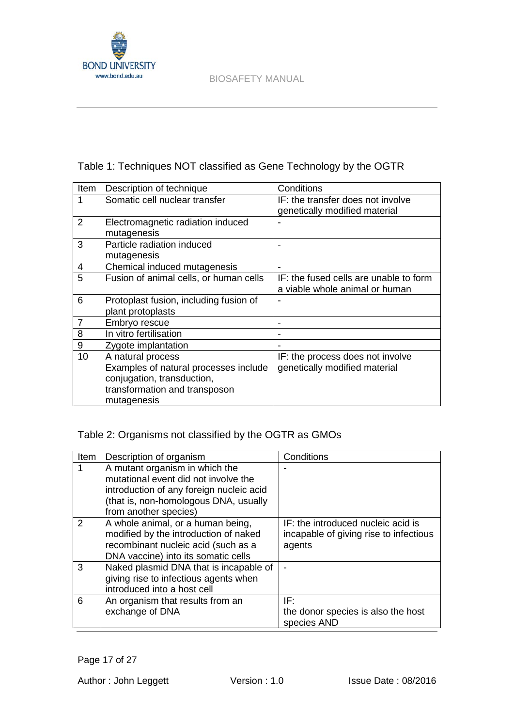

# Table 1: Techniques NOT classified as Gene Technology by the OGTR

| <b>Item</b> | Description of technique               | Conditions                             |
|-------------|----------------------------------------|----------------------------------------|
|             | Somatic cell nuclear transfer          | IF: the transfer does not involve      |
|             |                                        | genetically modified material          |
| 2           | Electromagnetic radiation induced      |                                        |
|             | mutagenesis                            |                                        |
| 3           | Particle radiation induced             |                                        |
|             | mutagenesis                            |                                        |
| 4           | Chemical induced mutagenesis           |                                        |
| 5           | Fusion of animal cells, or human cells | IF: the fused cells are unable to form |
|             |                                        | a viable whole animal or human         |
| 6           | Protoplast fusion, including fusion of |                                        |
|             | plant protoplasts                      |                                        |
| 7           | Embryo rescue                          |                                        |
| 8           | In vitro fertilisation                 |                                        |
| 9           | Zygote implantation                    |                                        |
| 10          | A natural process                      | IF: the process does not involve       |
|             | Examples of natural processes include  | genetically modified material          |
|             | conjugation, transduction,             |                                        |
|             | transformation and transposon          |                                        |
|             | mutagenesis                            |                                        |

# Table 2: Organisms not classified by the OGTR as GMOs

| Item          | Description of organism                  | Conditions                             |
|---------------|------------------------------------------|----------------------------------------|
|               | A mutant organism in which the           |                                        |
|               | mutational event did not involve the     |                                        |
|               | introduction of any foreign nucleic acid |                                        |
|               | (that is, non-homologous DNA, usually    |                                        |
|               | from another species)                    |                                        |
| $\mathcal{P}$ | A whole animal, or a human being,        | IF: the introduced nucleic acid is     |
|               | modified by the introduction of naked    | incapable of giving rise to infectious |
|               | recombinant nucleic acid (such as a      | agents                                 |
|               | DNA vaccine) into its somatic cells      |                                        |
| 3             | Naked plasmid DNA that is incapable of   |                                        |
|               | giving rise to infectious agents when    |                                        |
|               | introduced into a host cell              |                                        |
| 6             | An organism that results from an         | IF:                                    |
|               | exchange of DNA                          | the donor species is also the host     |
|               |                                          | species AND                            |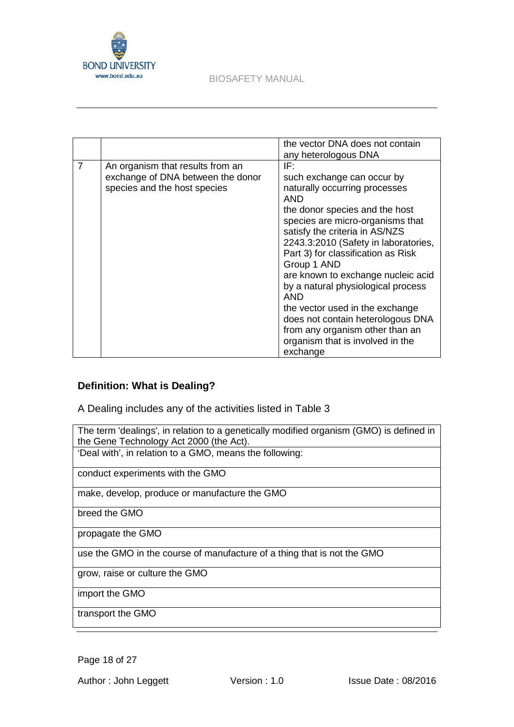

|                |                                                                                                       | the vector DNA does not contain<br>any heterologous DNA                                                                                                                                                                                                                                                                                                                                                                                                                                                                      |
|----------------|-------------------------------------------------------------------------------------------------------|------------------------------------------------------------------------------------------------------------------------------------------------------------------------------------------------------------------------------------------------------------------------------------------------------------------------------------------------------------------------------------------------------------------------------------------------------------------------------------------------------------------------------|
| $\overline{7}$ | An organism that results from an<br>exchange of DNA between the donor<br>species and the host species | IF:<br>such exchange can occur by<br>naturally occurring processes<br>AND<br>the donor species and the host<br>species are micro-organisms that<br>satisfy the criteria in AS/NZS<br>2243.3:2010 (Safety in laboratories,<br>Part 3) for classification as Risk<br>Group 1 AND<br>are known to exchange nucleic acid<br>by a natural physiological process<br>AND<br>the vector used in the exchange<br>does not contain heterologous DNA<br>from any organism other than an<br>organism that is involved in the<br>exchange |

## **Definition: What is Dealing?**

A Dealing includes any of the activities listed in Table 3

The term 'dealings', in relation to a genetically modified organism (GMO) is defined in the Gene Technology Act 2000 (the Act). 'Deal with', in relation to a GMO, means the following:

conduct experiments with the GMO

make, develop, produce or manufacture the GMO

breed the GMO

propagate the GMO

use the GMO in the course of manufacture of a thing that is not the GMO

grow, raise or culture the GMO

import the GMO

transport the GMO

Page 18 of 27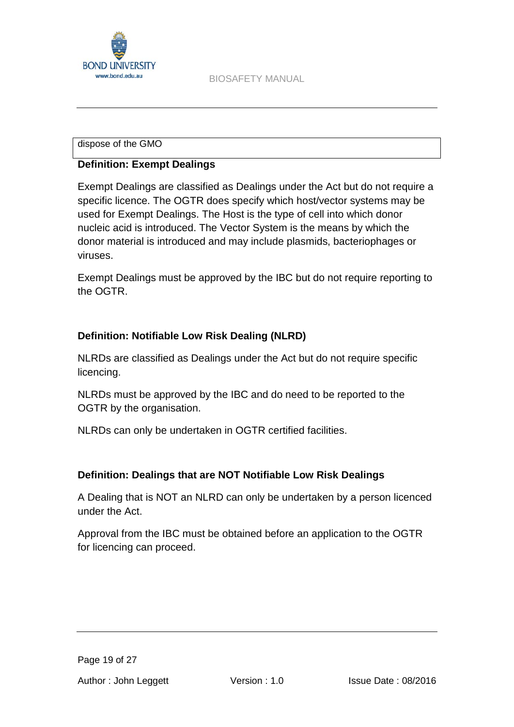

### dispose of the GMO

## **Definition: Exempt Dealings**

Exempt Dealings are classified as Dealings under the Act but do not require a specific licence. The OGTR does specify which host/vector systems may be used for Exempt Dealings. The Host is the type of cell into which donor nucleic acid is introduced. The Vector System is the means by which the donor material is introduced and may include plasmids, bacteriophages or viruses.

Exempt Dealings must be approved by the IBC but do not require reporting to the OGTR.

## **Definition: Notifiable Low Risk Dealing (NLRD)**

NLRDs are classified as Dealings under the Act but do not require specific licencing.

NLRDs must be approved by the IBC and do need to be reported to the OGTR by the organisation.

NLRDs can only be undertaken in OGTR certified facilities.

## **Definition: Dealings that are NOT Notifiable Low Risk Dealings**

A Dealing that is NOT an NLRD can only be undertaken by a person licenced under the Act.

Approval from the IBC must be obtained before an application to the OGTR for licencing can proceed.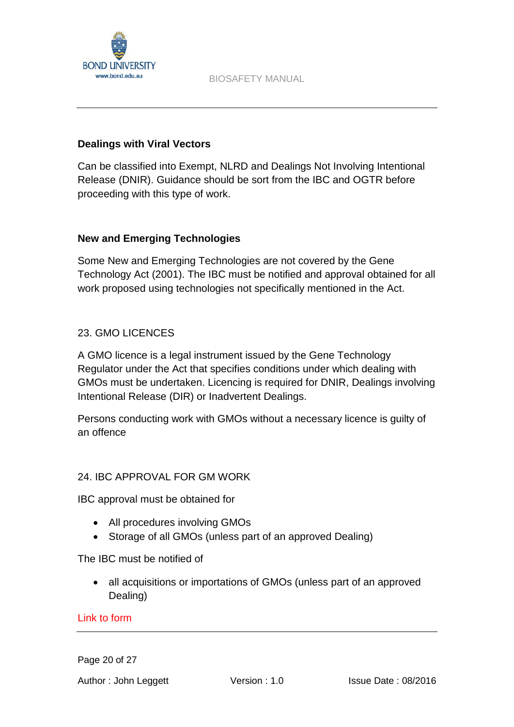

## **Dealings with Viral Vectors**

Can be classified into Exempt, NLRD and Dealings Not Involving Intentional Release (DNIR). Guidance should be sort from the IBC and OGTR before proceeding with this type of work.

## **New and Emerging Technologies**

Some New and Emerging Technologies are not covered by the Gene Technology Act (2001). The IBC must be notified and approval obtained for all work proposed using technologies not specifically mentioned in the Act.

## 23. GMO LICENCES

A GMO licence is a legal instrument issued by the Gene Technology Regulator under the Act that specifies conditions under which dealing with GMOs must be undertaken. Licencing is required for DNIR, Dealings involving Intentional Release (DIR) or Inadvertent Dealings.

Persons conducting work with GMOs without a necessary licence is guilty of an offence

## 24. IBC APPROVAL FOR GM WORK

IBC approval must be obtained for

- All procedures involving GMOs
- Storage of all GMOs (unless part of an approved Dealing)

The IBC must be notified of

• all acquisitions or importations of GMOs (unless part of an approved Dealing)

## Link to form

Page 20 of 27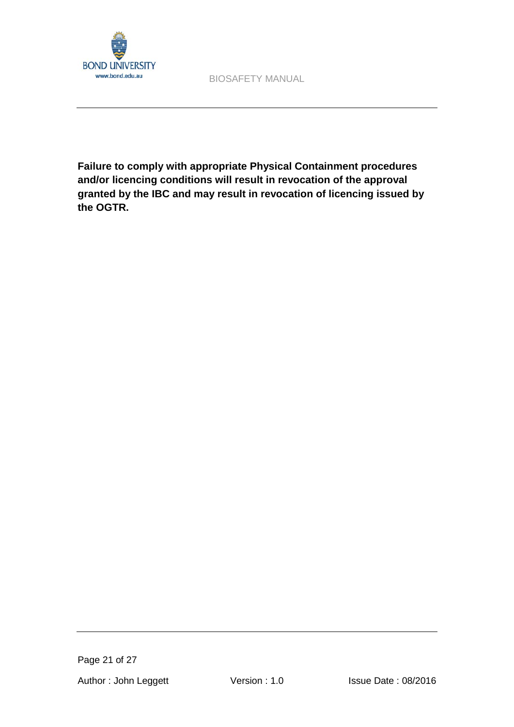

**Failure to comply with appropriate Physical Containment procedures and/or licencing conditions will result in revocation of the approval granted by the IBC and may result in revocation of licencing issued by the OGTR.**

Page 21 of 27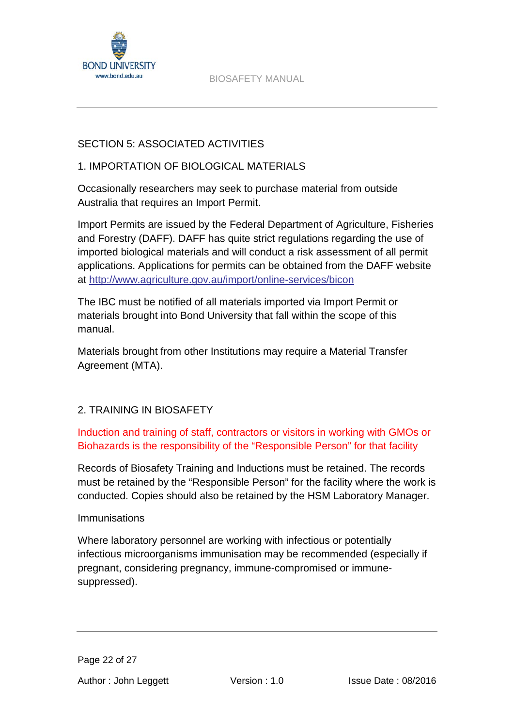

# SECTION 5: ASSOCIATED ACTIVITIES

## 1. IMPORTATION OF BIOLOGICAL MATERIALS

Occasionally researchers may seek to purchase material from outside Australia that requires an Import Permit.

Import Permits are issued by the Federal Department of Agriculture, Fisheries and Forestry (DAFF). DAFF has quite strict regulations regarding the use of imported biological materials and will conduct a risk assessment of all permit applications. Applications for permits can be obtained from the DAFF website at<http://www.agriculture.gov.au/import/online-services/bicon>

The IBC must be notified of all materials imported via Import Permit or materials brought into Bond University that fall within the scope of this manual.

Materials brought from other Institutions may require a Material Transfer Agreement (MTA).

# 2. TRAINING IN BIOSAFETY

Induction and training of staff, contractors or visitors in working with GMOs or Biohazards is the responsibility of the "Responsible Person" for that facility

Records of Biosafety Training and Inductions must be retained. The records must be retained by the "Responsible Person" for the facility where the work is conducted. Copies should also be retained by the HSM Laboratory Manager.

## Immunisations

Where laboratory personnel are working with infectious or potentially infectious microorganisms immunisation may be recommended (especially if pregnant, considering pregnancy, immune-compromised or immunesuppressed).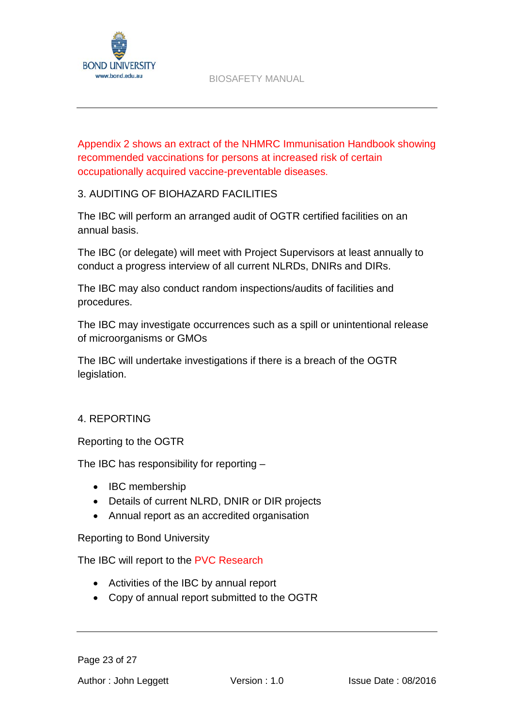

Appendix 2 shows an extract of the NHMRC Immunisation Handbook showing recommended vaccinations for persons at increased risk of certain occupationally acquired vaccine-preventable diseases.

## 3. AUDITING OF BIOHAZARD FACILITIES

The IBC will perform an arranged audit of OGTR certified facilities on an annual basis.

The IBC (or delegate) will meet with Project Supervisors at least annually to conduct a progress interview of all current NLRDs, DNIRs and DIRs.

The IBC may also conduct random inspections/audits of facilities and procedures.

The IBC may investigate occurrences such as a spill or unintentional release of microorganisms or GMOs

The IBC will undertake investigations if there is a breach of the OGTR legislation.

## 4. REPORTING

Reporting to the OGTR

The IBC has responsibility for reporting –

- IBC membership
- Details of current NLRD, DNIR or DIR projects
- Annual report as an accredited organisation

Reporting to Bond University

The IBC will report to the PVC Research

- Activities of the IBC by annual report
- Copy of annual report submitted to the OGTR

Page 23 of 27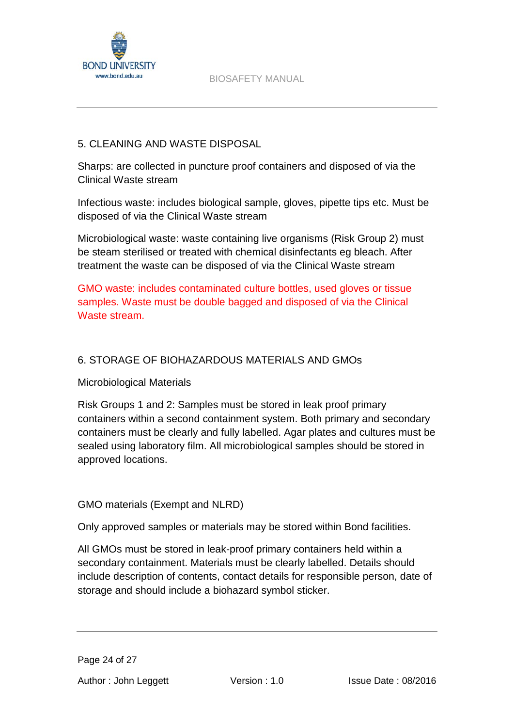

## 5. CLEANING AND WASTE DISPOSAL

Sharps: are collected in puncture proof containers and disposed of via the Clinical Waste stream

Infectious waste: includes biological sample, gloves, pipette tips etc. Must be disposed of via the Clinical Waste stream

Microbiological waste: waste containing live organisms (Risk Group 2) must be steam sterilised or treated with chemical disinfectants eg bleach. After treatment the waste can be disposed of via the Clinical Waste stream

GMO waste: includes contaminated culture bottles, used gloves or tissue samples. Waste must be double bagged and disposed of via the Clinical Waste stream.

## 6. STORAGE OF BIOHAZARDOUS MATERIALS AND GMOs

## Microbiological Materials

Risk Groups 1 and 2: Samples must be stored in leak proof primary containers within a second containment system. Both primary and secondary containers must be clearly and fully labelled. Agar plates and cultures must be sealed using laboratory film. All microbiological samples should be stored in approved locations.

## GMO materials (Exempt and NLRD)

Only approved samples or materials may be stored within Bond facilities.

All GMOs must be stored in leak-proof primary containers held within a secondary containment. Materials must be clearly labelled. Details should include description of contents, contact details for responsible person, date of storage and should include a biohazard symbol sticker.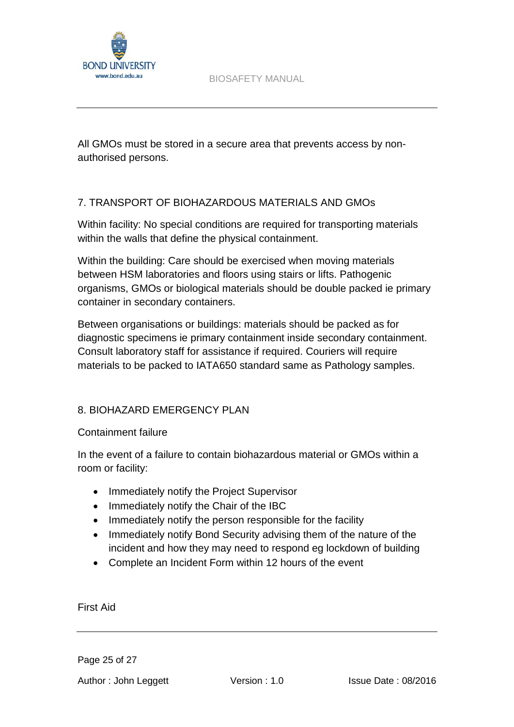

All GMOs must be stored in a secure area that prevents access by nonauthorised persons.

## 7. TRANSPORT OF BIOHAZARDOUS MATERIALS AND GMOs

Within facility: No special conditions are required for transporting materials within the walls that define the physical containment.

Within the building: Care should be exercised when moving materials between HSM laboratories and floors using stairs or lifts. Pathogenic organisms, GMOs or biological materials should be double packed ie primary container in secondary containers.

Between organisations or buildings: materials should be packed as for diagnostic specimens ie primary containment inside secondary containment. Consult laboratory staff for assistance if required. Couriers will require materials to be packed to IATA650 standard same as Pathology samples.

## 8. BIOHAZARD EMERGENCY PLAN

Containment failure

In the event of a failure to contain biohazardous material or GMOs within a room or facility:

- Immediately notify the Project Supervisor
- Immediately notify the Chair of the IBC
- Immediately notify the person responsible for the facility
- Immediately notify Bond Security advising them of the nature of the incident and how they may need to respond eg lockdown of building
- Complete an Incident Form within 12 hours of the event

First Aid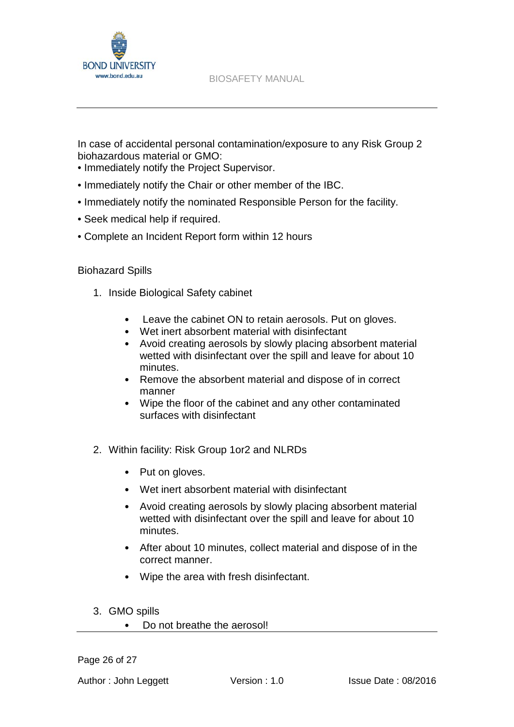

In case of accidental personal contamination/exposure to any Risk Group 2 biohazardous material or GMO:

- Immediately notify the Project Supervisor.
- Immediately notify the Chair or other member of the IBC.
- Immediately notify the nominated Responsible Person for the facility.
- Seek medical help if required.
- Complete an Incident Report form within 12 hours

## Biohazard Spills

- 1. Inside Biological Safety cabinet
	- Leave the cabinet ON to retain aerosols. Put on gloves.
	- Wet inert absorbent material with disinfectant
	- Avoid creating aerosols by slowly placing absorbent material wetted with disinfectant over the spill and leave for about 10 minutes.
	- Remove the absorbent material and dispose of in correct manner
	- Wipe the floor of the cabinet and any other contaminated surfaces with disinfectant
- 2. Within facility: Risk Group 1or2 and NLRDs
	- Put on gloves.
	- Wet inert absorbent material with disinfectant
	- Avoid creating aerosols by slowly placing absorbent material wetted with disinfectant over the spill and leave for about 10 minutes.
	- After about 10 minutes, collect material and dispose of in the correct manner.
	- Wipe the area with fresh disinfectant.
- 3. GMO spills
	- Do not breathe the aerosol!